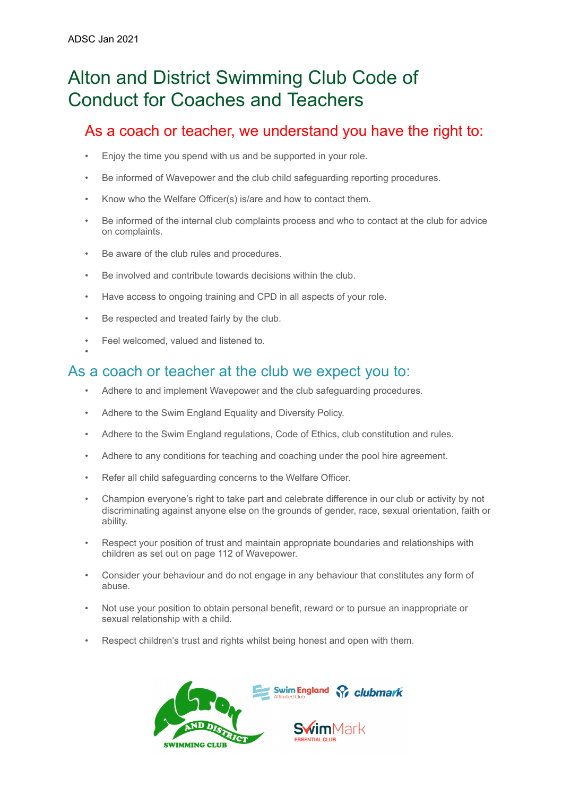•

# Alton and District Swimming Club Code of Conduct for Coaches and Teachers

## As a coach or teacher, we understand you have the right to:

- Enjoy the time you spend with us and be supported in your role.
- Be informed of Wavepower and the club child safeguarding reporting procedures.
- Know who the Welfare Officer(s) is/are and how to contact them.
- Be informed of the internal club complaints process and who to contact at the club for advice on complaints.
- Be aware of the club rules and procedures.
- Be involved and contribute towards decisions within the club.
- Have access to ongoing training and CPD in all aspects of your role.
- Be respected and treated fairly by the club.
- Feel welcomed, valued and listened to.

### As a coach or teacher at the club we expect you to:

- Adhere to and implement Wavepower and the club safeguarding procedures.
- Adhere to the Swim England Equality and Diversity Policy.
- Adhere to the Swim England regulations, Code of Ethics, club constitution and rules.
- Adhere to any conditions for teaching and coaching under the pool hire agreement.
- Refer all child safeguarding concerns to the Welfare Officer.
- Champion everyone's right to take part and celebrate difference in our club or activity by not discriminating against anyone else on the grounds of gender, race, sexual orientation, faith or ability.
- Respect your position of trust and maintain appropriate boundaries and relationships with children as set out on page 112 of Wavepower.
- Consider your behaviour and do not engage in any behaviour that constitutes any form of abuse.
- Not use your position to obtain personal benefit, reward or to pursue an inappropriate or sexual relationship with a child.
- Respect children's trust and rights whilst being honest and open with them.

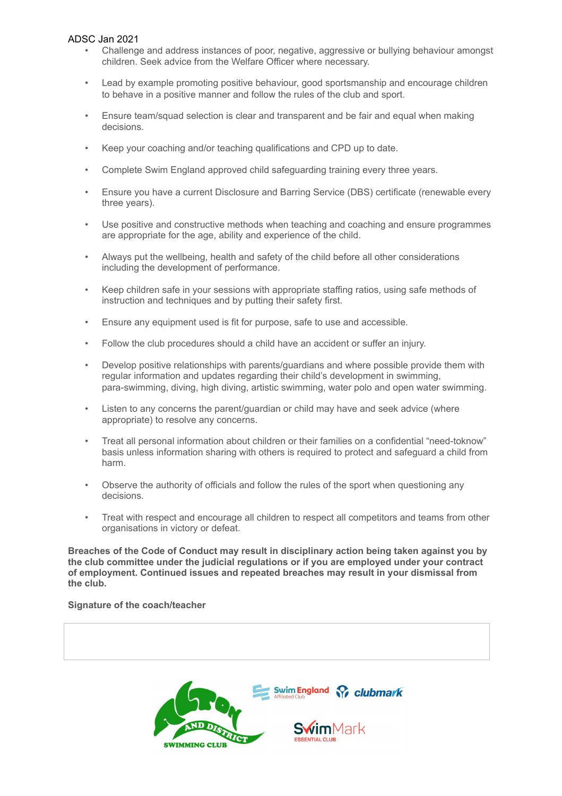### ADSC Jan 2021

- Challenge and address instances of poor, negative, aggressive or bullying behaviour amongst children. Seek advice from the Welfare Officer where necessary.
- Lead by example promoting positive behaviour, good sportsmanship and encourage children to behave in a positive manner and follow the rules of the club and sport.
- Ensure team/squad selection is clear and transparent and be fair and equal when making decisions.
- Keep your coaching and/or teaching qualifications and CPD up to date.
- Complete Swim England approved child safeguarding training every three years.
- Ensure you have a current Disclosure and Barring Service (DBS) certificate (renewable every three years).
- Use positive and constructive methods when teaching and coaching and ensure programmes are appropriate for the age, ability and experience of the child.
- Always put the wellbeing, health and safety of the child before all other considerations including the development of performance.
- Keep children safe in your sessions with appropriate staffing ratios, using safe methods of instruction and techniques and by putting their safety first.
- Ensure any equipment used is fit for purpose, safe to use and accessible.
- Follow the club procedures should a child have an accident or suffer an injury.
- Develop positive relationships with parents/guardians and where possible provide them with regular information and updates regarding their child's development in swimming, para-swimming, diving, high diving, artistic swimming, water polo and open water swimming.
- Listen to any concerns the parent/guardian or child may have and seek advice (where appropriate) to resolve any concerns.
- Treat all personal information about children or their families on a confidential "need-toknow" basis unless information sharing with others is required to protect and safeguard a child from harm.
- Observe the authority of officials and follow the rules of the sport when questioning any decisions.
- Treat with respect and encourage all children to respect all competitors and teams from other organisations in victory or defeat.

**Breaches of the Code of Conduct may result in disciplinary action being taken against you by the club committee under the judicial regulations or if you are employed under your contract of employment. Continued issues and repeated breaches may result in your dismissal from the club.**

#### **Signature of the coach/teacher**